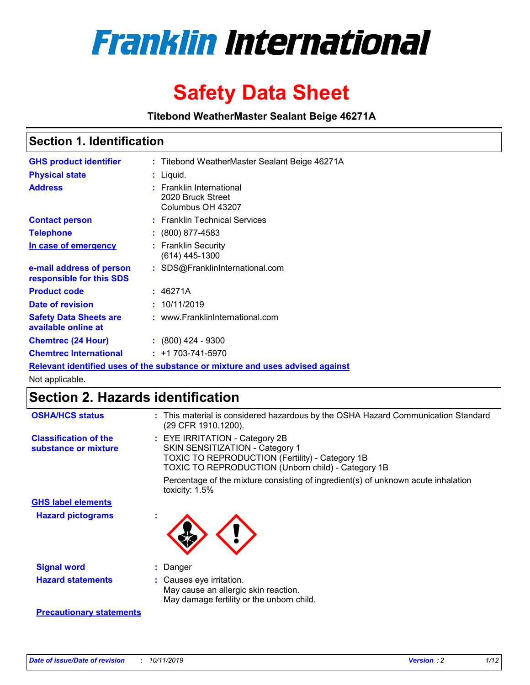

# **Safety Data Sheet**

**Titebond WeatherMaster Sealant Beige 46271A**

### **Section 1. Identification**

| <b>GHS product identifier</b>                        | : Titebond WeatherMaster Sealant Beige 46271A                                 |
|------------------------------------------------------|-------------------------------------------------------------------------------|
| <b>Physical state</b>                                | : Liquid.                                                                     |
| <b>Address</b>                                       | : Franklin International<br>2020 Bruck Street<br>Columbus OH 43207            |
| <b>Contact person</b>                                | : Franklin Technical Services                                                 |
| <b>Telephone</b>                                     | $\colon$ (800) 877-4583                                                       |
| In case of emergency                                 | : Franklin Security<br>(614) 445-1300                                         |
| e-mail address of person<br>responsible for this SDS | : SDS@FranklinInternational.com                                               |
| <b>Product code</b>                                  | : 46271A                                                                      |
| Date of revision                                     | : 10/11/2019                                                                  |
| <b>Safety Data Sheets are</b><br>available online at | : www.FranklinInternational.com                                               |
| <b>Chemtrec (24 Hour)</b>                            | $\div$ (800) 424 - 9300                                                       |
| <b>Chemtrec International</b>                        | $: +1703 - 741 - 5970$                                                        |
|                                                      | Relevant identified uses of the substance or mixture and uses advised against |

Not applicable.

## **Section 2. Hazards identification**

| <b>OSHA/HCS status</b>                               | : This material is considered hazardous by the OSHA Hazard Communication Standard<br>(29 CFR 1910.1200).                                                                                 |
|------------------------------------------------------|------------------------------------------------------------------------------------------------------------------------------------------------------------------------------------------|
| <b>Classification of the</b><br>substance or mixture | : EYE IRRITATION - Category 2B<br>SKIN SENSITIZATION - Category 1<br><b>TOXIC TO REPRODUCTION (Fertility) - Category 1B</b><br><b>TOXIC TO REPRODUCTION (Unborn child) - Category 1B</b> |
|                                                      | Percentage of the mixture consisting of ingredient(s) of unknown acute inhalation<br>toxicity: $1.5\%$                                                                                   |
| <b>GHS label elements</b>                            |                                                                                                                                                                                          |
| <b>Hazard pictograms</b>                             |                                                                                                                                                                                          |
| <b>Signal word</b>                                   | : Danger                                                                                                                                                                                 |
| <b>Hazard statements</b>                             | : Causes eye irritation.<br>May cause an allergic skin reaction.<br>May damage fertility or the unborn child.                                                                            |
| <b>Precautionary statements</b>                      |                                                                                                                                                                                          |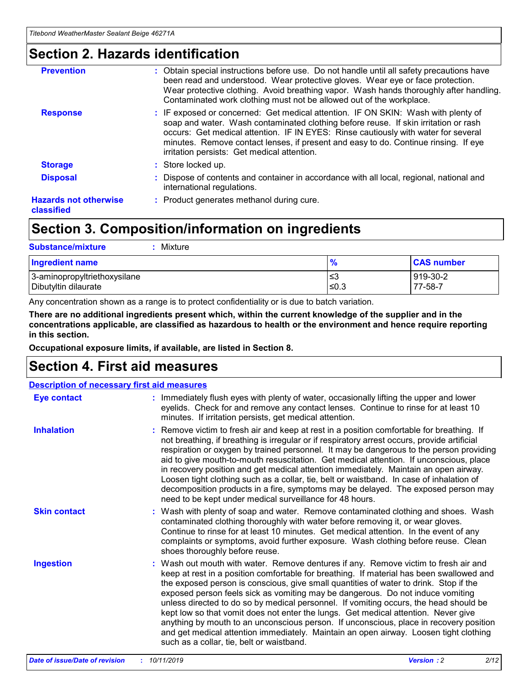### **Section 2. Hazards identification**

| <b>Prevention</b>                          | : Obtain special instructions before use. Do not handle until all safety precautions have<br>been read and understood. Wear protective gloves. Wear eye or face protection.<br>Wear protective clothing. Avoid breathing vapor. Wash hands thoroughly after handling.<br>Contaminated work clothing must not be allowed out of the workplace.                                                        |
|--------------------------------------------|------------------------------------------------------------------------------------------------------------------------------------------------------------------------------------------------------------------------------------------------------------------------------------------------------------------------------------------------------------------------------------------------------|
| <b>Response</b>                            | : IF exposed or concerned: Get medical attention. IF ON SKIN: Wash with plenty of<br>soap and water. Wash contaminated clothing before reuse. If skin irritation or rash<br>occurs: Get medical attention. IF IN EYES: Rinse cautiously with water for several<br>minutes. Remove contact lenses, if present and easy to do. Continue rinsing. If eye<br>irritation persists: Get medical attention. |
| <b>Storage</b>                             | : Store locked up.                                                                                                                                                                                                                                                                                                                                                                                   |
| <b>Disposal</b>                            | : Dispose of contents and container in accordance with all local, regional, national and<br>international regulations.                                                                                                                                                                                                                                                                               |
| <b>Hazards not otherwise</b><br>classified | : Product generates methanol during cure.                                                                                                                                                                                                                                                                                                                                                            |
|                                            |                                                                                                                                                                                                                                                                                                                                                                                                      |

### **Section 3. Composition/information on ingredients**

| <b>Substance/mixture</b><br>Mixture                  |                   |                     |
|------------------------------------------------------|-------------------|---------------------|
| <b>Ingredient name</b>                               | $\frac{9}{6}$     | <b>CAS number</b>   |
| 3-aminopropyltriethoxysilane<br>Dibutyltin dilaurate | l≤3<br>$\leq 0.3$ | 919-30-2<br>77-58-7 |

Any concentration shown as a range is to protect confidentiality or is due to batch variation.

**There are no additional ingredients present which, within the current knowledge of the supplier and in the concentrations applicable, are classified as hazardous to health or the environment and hence require reporting in this section.**

**Occupational exposure limits, if available, are listed in Section 8.**

### **Section 4. First aid measures**

| <b>Description of necessary first aid measures</b> |                                                                                                                                                                                                                                                                                                                                                                                                                                                                                                                                                                                                                                                                                                                                                                           |  |  |  |
|----------------------------------------------------|---------------------------------------------------------------------------------------------------------------------------------------------------------------------------------------------------------------------------------------------------------------------------------------------------------------------------------------------------------------------------------------------------------------------------------------------------------------------------------------------------------------------------------------------------------------------------------------------------------------------------------------------------------------------------------------------------------------------------------------------------------------------------|--|--|--|
| <b>Eye contact</b>                                 | : Immediately flush eyes with plenty of water, occasionally lifting the upper and lower<br>eyelids. Check for and remove any contact lenses. Continue to rinse for at least 10<br>minutes. If irritation persists, get medical attention.                                                                                                                                                                                                                                                                                                                                                                                                                                                                                                                                 |  |  |  |
| <b>Inhalation</b>                                  | : Remove victim to fresh air and keep at rest in a position comfortable for breathing. If<br>not breathing, if breathing is irregular or if respiratory arrest occurs, provide artificial<br>respiration or oxygen by trained personnel. It may be dangerous to the person providing<br>aid to give mouth-to-mouth resuscitation. Get medical attention. If unconscious, place<br>in recovery position and get medical attention immediately. Maintain an open airway.<br>Loosen tight clothing such as a collar, tie, belt or waistband. In case of inhalation of<br>decomposition products in a fire, symptoms may be delayed. The exposed person may<br>need to be kept under medical surveillance for 48 hours.                                                       |  |  |  |
| <b>Skin contact</b>                                | : Wash with plenty of soap and water. Remove contaminated clothing and shoes. Wash<br>contaminated clothing thoroughly with water before removing it, or wear gloves.<br>Continue to rinse for at least 10 minutes. Get medical attention. In the event of any<br>complaints or symptoms, avoid further exposure. Wash clothing before reuse. Clean<br>shoes thoroughly before reuse.                                                                                                                                                                                                                                                                                                                                                                                     |  |  |  |
| <b>Ingestion</b>                                   | : Wash out mouth with water. Remove dentures if any. Remove victim to fresh air and<br>keep at rest in a position comfortable for breathing. If material has been swallowed and<br>the exposed person is conscious, give small quantities of water to drink. Stop if the<br>exposed person feels sick as vomiting may be dangerous. Do not induce vomiting<br>unless directed to do so by medical personnel. If vomiting occurs, the head should be<br>kept low so that vomit does not enter the lungs. Get medical attention. Never give<br>anything by mouth to an unconscious person. If unconscious, place in recovery position<br>and get medical attention immediately. Maintain an open airway. Loosen tight clothing<br>such as a collar, tie, belt or waistband. |  |  |  |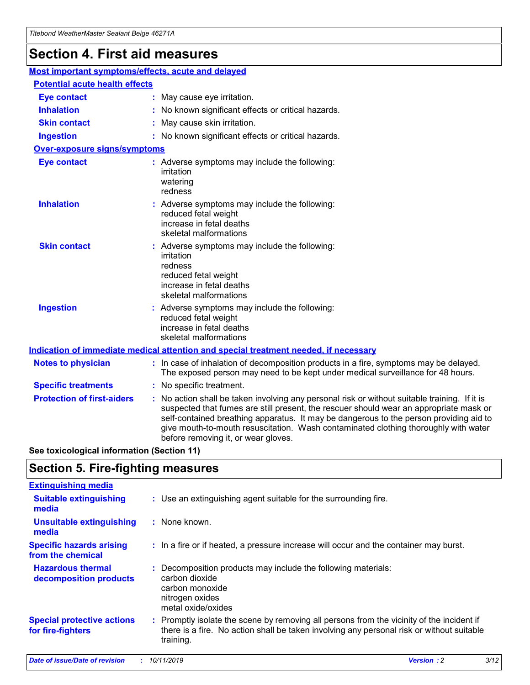## **Section 4. First aid measures**

| Most important symptoms/effects, acute and delayed |  |                                                                                                                                                                                                                                                                                                                                                                                                                 |
|----------------------------------------------------|--|-----------------------------------------------------------------------------------------------------------------------------------------------------------------------------------------------------------------------------------------------------------------------------------------------------------------------------------------------------------------------------------------------------------------|
| <b>Potential acute health effects</b>              |  |                                                                                                                                                                                                                                                                                                                                                                                                                 |
| <b>Eye contact</b>                                 |  | : May cause eye irritation.                                                                                                                                                                                                                                                                                                                                                                                     |
| <b>Inhalation</b>                                  |  | : No known significant effects or critical hazards.                                                                                                                                                                                                                                                                                                                                                             |
| <b>Skin contact</b>                                |  | : May cause skin irritation.                                                                                                                                                                                                                                                                                                                                                                                    |
| <b>Ingestion</b>                                   |  | : No known significant effects or critical hazards.                                                                                                                                                                                                                                                                                                                                                             |
| <b>Over-exposure signs/symptoms</b>                |  |                                                                                                                                                                                                                                                                                                                                                                                                                 |
| <b>Eye contact</b>                                 |  | : Adverse symptoms may include the following:<br>irritation<br>watering<br>redness                                                                                                                                                                                                                                                                                                                              |
| <b>Inhalation</b>                                  |  | : Adverse symptoms may include the following:<br>reduced fetal weight<br>increase in fetal deaths<br>skeletal malformations                                                                                                                                                                                                                                                                                     |
| <b>Skin contact</b>                                |  | : Adverse symptoms may include the following:<br>irritation<br>redness<br>reduced fetal weight<br>increase in fetal deaths<br>skeletal malformations                                                                                                                                                                                                                                                            |
| <b>Ingestion</b>                                   |  | : Adverse symptoms may include the following:<br>reduced fetal weight<br>increase in fetal deaths<br>skeletal malformations                                                                                                                                                                                                                                                                                     |
|                                                    |  | <b>Indication of immediate medical attention and special treatment needed, if necessary</b>                                                                                                                                                                                                                                                                                                                     |
| <b>Notes to physician</b>                          |  | : In case of inhalation of decomposition products in a fire, symptoms may be delayed.<br>The exposed person may need to be kept under medical surveillance for 48 hours.                                                                                                                                                                                                                                        |
| <b>Specific treatments</b>                         |  | : No specific treatment.                                                                                                                                                                                                                                                                                                                                                                                        |
| <b>Protection of first-aiders</b>                  |  | : No action shall be taken involving any personal risk or without suitable training. If it is<br>suspected that fumes are still present, the rescuer should wear an appropriate mask or<br>self-contained breathing apparatus. It may be dangerous to the person providing aid to<br>give mouth-to-mouth resuscitation. Wash contaminated clothing thoroughly with water<br>before removing it, or wear gloves. |

**See toxicological information (Section 11)**

### **Section 5. Fire-fighting measures**

| <b>Extinguishing media</b>                             |                                                                                                                                                                                                     |
|--------------------------------------------------------|-----------------------------------------------------------------------------------------------------------------------------------------------------------------------------------------------------|
| <b>Suitable extinguishing</b><br>media                 | : Use an extinguishing agent suitable for the surrounding fire.                                                                                                                                     |
| <b>Unsuitable extinguishing</b><br>media               | $:$ None known.                                                                                                                                                                                     |
| <b>Specific hazards arising</b><br>from the chemical   | : In a fire or if heated, a pressure increase will occur and the container may burst.                                                                                                               |
| <b>Hazardous thermal</b><br>decomposition products     | : Decomposition products may include the following materials:<br>carbon dioxide<br>carbon monoxide<br>nitrogen oxides<br>metal oxide/oxides                                                         |
| <b>Special protective actions</b><br>for fire-fighters | : Promptly isolate the scene by removing all persons from the vicinity of the incident if<br>there is a fire. No action shall be taken involving any personal risk or without suitable<br>training. |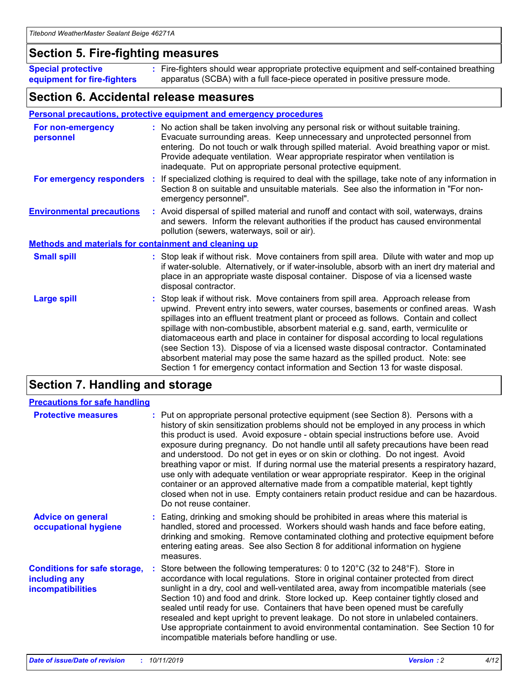### **Section 5. Fire-fighting measures**

**Special protective equipment for fire-fighters** Fire-fighters should wear appropriate protective equipment and self-contained breathing **:** apparatus (SCBA) with a full face-piece operated in positive pressure mode.

### **Section 6. Accidental release measures**

#### **Personal precautions, protective equipment and emergency procedures**

| For non-emergency<br>personnel                               | : No action shall be taken involving any personal risk or without suitable training.<br>Evacuate surrounding areas. Keep unnecessary and unprotected personnel from<br>entering. Do not touch or walk through spilled material. Avoid breathing vapor or mist.<br>Provide adequate ventilation. Wear appropriate respirator when ventilation is<br>inadequate. Put on appropriate personal protective equipment.                                                                                                                                                                                                                                                                                             |
|--------------------------------------------------------------|--------------------------------------------------------------------------------------------------------------------------------------------------------------------------------------------------------------------------------------------------------------------------------------------------------------------------------------------------------------------------------------------------------------------------------------------------------------------------------------------------------------------------------------------------------------------------------------------------------------------------------------------------------------------------------------------------------------|
|                                                              | For emergency responders : If specialized clothing is required to deal with the spillage, take note of any information in<br>Section 8 on suitable and unsuitable materials. See also the information in "For non-<br>emergency personnel".                                                                                                                                                                                                                                                                                                                                                                                                                                                                  |
| <b>Environmental precautions</b>                             | : Avoid dispersal of spilled material and runoff and contact with soil, waterways, drains<br>and sewers. Inform the relevant authorities if the product has caused environmental<br>pollution (sewers, waterways, soil or air).                                                                                                                                                                                                                                                                                                                                                                                                                                                                              |
| <b>Methods and materials for containment and cleaning up</b> |                                                                                                                                                                                                                                                                                                                                                                                                                                                                                                                                                                                                                                                                                                              |
| <b>Small spill</b>                                           | : Stop leak if without risk. Move containers from spill area. Dilute with water and mop up<br>if water-soluble. Alternatively, or if water-insoluble, absorb with an inert dry material and<br>place in an appropriate waste disposal container. Dispose of via a licensed waste<br>disposal contractor.                                                                                                                                                                                                                                                                                                                                                                                                     |
| <b>Large spill</b>                                           | : Stop leak if without risk. Move containers from spill area. Approach release from<br>upwind. Prevent entry into sewers, water courses, basements or confined areas. Wash<br>spillages into an effluent treatment plant or proceed as follows. Contain and collect<br>spillage with non-combustible, absorbent material e.g. sand, earth, vermiculite or<br>diatomaceous earth and place in container for disposal according to local regulations<br>(see Section 13). Dispose of via a licensed waste disposal contractor. Contaminated<br>absorbent material may pose the same hazard as the spilled product. Note: see<br>Section 1 for emergency contact information and Section 13 for waste disposal. |

### **Section 7. Handling and storage**

| <b>Precautions for safe handling</b>                                             |                                                                                                                                                                                                                                                                                                                                                                                                                                                                                                                                                                                                                                                                                                                                                                                                                                                  |
|----------------------------------------------------------------------------------|--------------------------------------------------------------------------------------------------------------------------------------------------------------------------------------------------------------------------------------------------------------------------------------------------------------------------------------------------------------------------------------------------------------------------------------------------------------------------------------------------------------------------------------------------------------------------------------------------------------------------------------------------------------------------------------------------------------------------------------------------------------------------------------------------------------------------------------------------|
| <b>Protective measures</b>                                                       | : Put on appropriate personal protective equipment (see Section 8). Persons with a<br>history of skin sensitization problems should not be employed in any process in which<br>this product is used. Avoid exposure - obtain special instructions before use. Avoid<br>exposure during pregnancy. Do not handle until all safety precautions have been read<br>and understood. Do not get in eyes or on skin or clothing. Do not ingest. Avoid<br>breathing vapor or mist. If during normal use the material presents a respiratory hazard,<br>use only with adequate ventilation or wear appropriate respirator. Keep in the original<br>container or an approved alternative made from a compatible material, kept tightly<br>closed when not in use. Empty containers retain product residue and can be hazardous.<br>Do not reuse container. |
| <b>Advice on general</b><br>occupational hygiene                                 | : Eating, drinking and smoking should be prohibited in areas where this material is<br>handled, stored and processed. Workers should wash hands and face before eating,<br>drinking and smoking. Remove contaminated clothing and protective equipment before<br>entering eating areas. See also Section 8 for additional information on hygiene<br>measures.                                                                                                                                                                                                                                                                                                                                                                                                                                                                                    |
| <b>Conditions for safe storage,</b><br>including any<br><b>incompatibilities</b> | : Store between the following temperatures: 0 to 120 $\degree$ C (32 to 248 $\degree$ F). Store in<br>accordance with local regulations. Store in original container protected from direct<br>sunlight in a dry, cool and well-ventilated area, away from incompatible materials (see<br>Section 10) and food and drink. Store locked up. Keep container tightly closed and<br>sealed until ready for use. Containers that have been opened must be carefully<br>resealed and kept upright to prevent leakage. Do not store in unlabeled containers.<br>Use appropriate containment to avoid environmental contamination. See Section 10 for<br>incompatible materials before handling or use.                                                                                                                                                   |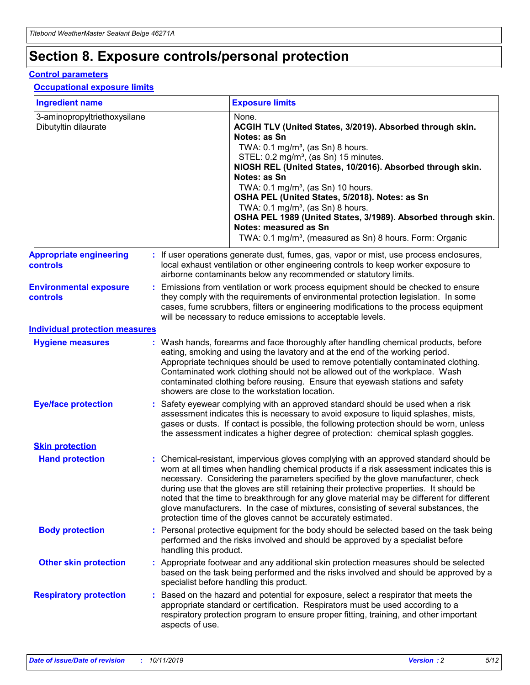## **Section 8. Exposure controls/personal protection**

#### **Control parameters**

### **Occupational exposure limits**

| <b>Ingredient name</b>                               |    |                                          | <b>Exposure limits</b>                                                                                                                                                                                                                                                                                                                                                                                                                                                                                                                                                                                                 |
|------------------------------------------------------|----|------------------------------------------|------------------------------------------------------------------------------------------------------------------------------------------------------------------------------------------------------------------------------------------------------------------------------------------------------------------------------------------------------------------------------------------------------------------------------------------------------------------------------------------------------------------------------------------------------------------------------------------------------------------------|
| 3-aminopropyltriethoxysilane<br>Dibutyltin dilaurate |    |                                          | None.<br>ACGIH TLV (United States, 3/2019). Absorbed through skin.<br>Notes: as Sn<br>TWA: 0.1 mg/m <sup>3</sup> , (as Sn) 8 hours.<br>STEL: 0.2 mg/m <sup>3</sup> , (as Sn) 15 minutes.<br>NIOSH REL (United States, 10/2016). Absorbed through skin.<br>Notes: as Sn<br>TWA: 0.1 mg/m <sup>3</sup> , (as Sn) 10 hours.<br>OSHA PEL (United States, 5/2018). Notes: as Sn<br>TWA: $0.1 \text{ mg/m}^3$ , (as Sn) 8 hours.<br>OSHA PEL 1989 (United States, 3/1989). Absorbed through skin.<br>Notes: measured as Sn<br>TWA: 0.1 mg/m <sup>3</sup> , (measured as Sn) 8 hours. Form: Organic                           |
| <b>Appropriate engineering</b><br>controls           |    |                                          | : If user operations generate dust, fumes, gas, vapor or mist, use process enclosures,<br>local exhaust ventilation or other engineering controls to keep worker exposure to<br>airborne contaminants below any recommended or statutory limits.                                                                                                                                                                                                                                                                                                                                                                       |
| <b>Environmental exposure</b><br><b>controls</b>     |    |                                          | Emissions from ventilation or work process equipment should be checked to ensure<br>they comply with the requirements of environmental protection legislation. In some<br>cases, fume scrubbers, filters or engineering modifications to the process equipment<br>will be necessary to reduce emissions to acceptable levels.                                                                                                                                                                                                                                                                                          |
| <b>Individual protection measures</b>                |    |                                          |                                                                                                                                                                                                                                                                                                                                                                                                                                                                                                                                                                                                                        |
| <b>Hygiene measures</b>                              |    |                                          | : Wash hands, forearms and face thoroughly after handling chemical products, before<br>eating, smoking and using the lavatory and at the end of the working period.<br>Appropriate techniques should be used to remove potentially contaminated clothing.<br>Contaminated work clothing should not be allowed out of the workplace. Wash<br>contaminated clothing before reusing. Ensure that eyewash stations and safety<br>showers are close to the workstation location.                                                                                                                                            |
| <b>Eye/face protection</b>                           |    |                                          | : Safety eyewear complying with an approved standard should be used when a risk<br>assessment indicates this is necessary to avoid exposure to liquid splashes, mists,<br>gases or dusts. If contact is possible, the following protection should be worn, unless<br>the assessment indicates a higher degree of protection: chemical splash goggles.                                                                                                                                                                                                                                                                  |
| <b>Skin protection</b>                               |    |                                          |                                                                                                                                                                                                                                                                                                                                                                                                                                                                                                                                                                                                                        |
| <b>Hand protection</b>                               |    |                                          | : Chemical-resistant, impervious gloves complying with an approved standard should be<br>worn at all times when handling chemical products if a risk assessment indicates this is<br>necessary. Considering the parameters specified by the glove manufacturer, check<br>during use that the gloves are still retaining their protective properties. It should be<br>noted that the time to breakthrough for any glove material may be different for different<br>glove manufacturers. In the case of mixtures, consisting of several substances, the<br>protection time of the gloves cannot be accurately estimated. |
| <b>Body protection</b>                               |    | handling this product.                   | Personal protective equipment for the body should be selected based on the task being<br>performed and the risks involved and should be approved by a specialist before                                                                                                                                                                                                                                                                                                                                                                                                                                                |
| <b>Other skin protection</b>                         |    | specialist before handling this product. | : Appropriate footwear and any additional skin protection measures should be selected<br>based on the task being performed and the risks involved and should be approved by a                                                                                                                                                                                                                                                                                                                                                                                                                                          |
| <b>Respiratory protection</b>                        | ÷. | aspects of use.                          | Based on the hazard and potential for exposure, select a respirator that meets the<br>appropriate standard or certification. Respirators must be used according to a<br>respiratory protection program to ensure proper fitting, training, and other important                                                                                                                                                                                                                                                                                                                                                         |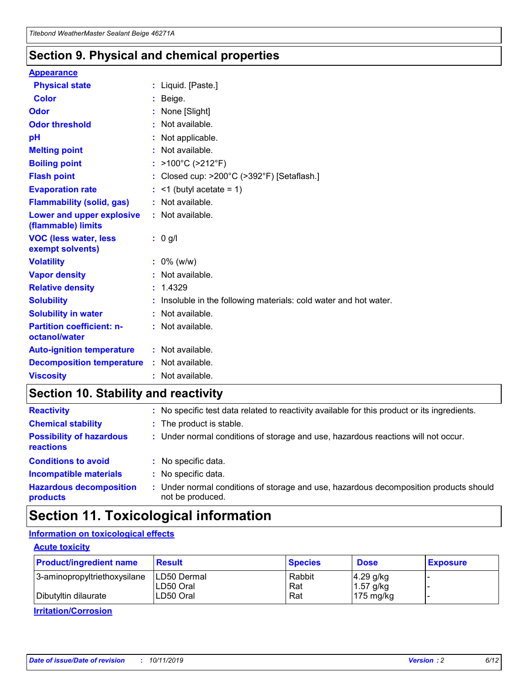### **Section 9. Physical and chemical properties**

#### **Appearance**

| <b>Physical state</b>                             | : Liquid. [Paste.]                                              |
|---------------------------------------------------|-----------------------------------------------------------------|
| Color                                             | Beige.                                                          |
| Odor                                              | None [Slight]                                                   |
| <b>Odor threshold</b>                             | : Not available.                                                |
| рH                                                | : Not applicable.                                               |
| <b>Melting point</b>                              | : Not available.                                                |
| <b>Boiling point</b>                              | : >100°C (>212°F)                                               |
| <b>Flash point</b>                                | : Closed cup: $>200^{\circ}$ C ( $>392^{\circ}$ F) [Setaflash.] |
| <b>Evaporation rate</b>                           | $:$ <1 (butyl acetate = 1)                                      |
| <b>Flammability (solid, gas)</b>                  | : Not available.                                                |
| Lower and upper explosive<br>(flammable) limits   | : Not available.                                                |
| <b>VOC (less water, less</b><br>exempt solvents)  | : 0 g/l                                                         |
| <b>Volatility</b>                                 | $: 0\%$ (w/w)                                                   |
| <b>Vapor density</b>                              | : Not available.                                                |
| <b>Relative density</b>                           | : 1.4329                                                        |
| <b>Solubility</b>                                 | Insoluble in the following materials: cold water and hot water. |
| <b>Solubility in water</b>                        | : Not available.                                                |
| <b>Partition coefficient: n-</b><br>octanol/water | $:$ Not available.                                              |
| <b>Auto-ignition temperature</b>                  | : Not available.                                                |
|                                                   |                                                                 |
| <b>Decomposition temperature</b>                  | : Not available.                                                |

### **Section 10. Stability and reactivity**

| <b>Reactivity</b>                            |    | : No specific test data related to reactivity available for this product or its ingredients.            |
|----------------------------------------------|----|---------------------------------------------------------------------------------------------------------|
| <b>Chemical stability</b>                    |    | : The product is stable.                                                                                |
| <b>Possibility of hazardous</b><br>reactions |    | : Under normal conditions of storage and use, hazardous reactions will not occur.                       |
| <b>Conditions to avoid</b>                   |    | : No specific data.                                                                                     |
| <b>Incompatible materials</b>                | ٠. | No specific data.                                                                                       |
| <b>Hazardous decomposition</b><br>products   | ÷. | Under normal conditions of storage and use, hazardous decomposition products should<br>not be produced. |

### **Section 11. Toxicological information**

### **Information on toxicological effects**

#### **Acute toxicity**

| <b>Product/ingredient name</b> | <b>Result</b>           | <b>Species</b> | <b>Dose</b>                | <b>Exposure</b> |
|--------------------------------|-------------------------|----------------|----------------------------|-----------------|
| 3-aminopropyltriethoxysilane   | <b>ILD50 Dermal</b>     | Rabbit         | 4.29 g/kg                  |                 |
| Dibutyltin dilaurate           | ILD50 Oral<br>LD50 Oral | Rat<br>Rat     | $1.57$ g/kg<br>175 $mg/kg$ |                 |
|                                |                         |                |                            |                 |

**Irritation/Corrosion**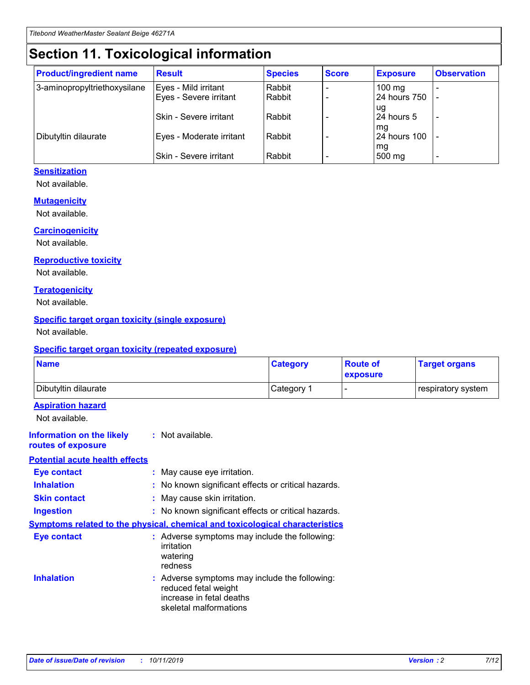## **Section 11. Toxicological information**

| <b>Product/ingredient name</b> | <b>Result</b>            | <b>Species</b> | <b>Score</b> | <b>Exposure</b>           | <b>Observation</b> |
|--------------------------------|--------------------------|----------------|--------------|---------------------------|--------------------|
| 3-aminopropyltriethoxysilane   | Eyes - Mild irritant     | Rabbit         |              | $100$ mg                  |                    |
|                                | Eyes - Severe irritant   | Rabbit         |              | 24 hours 750              |                    |
|                                |                          |                |              | ug                        |                    |
|                                | Skin - Severe irritant   | Rabbit         |              | 24 hours 5                | -                  |
| Dibutyltin dilaurate           | Eyes - Moderate irritant | Rabbit         |              | mq<br><b>24 hours 100</b> |                    |
|                                |                          |                |              | mg                        |                    |
|                                | Skin - Severe irritant   | Rabbit         |              | 500 mg                    |                    |

### **Sensitization**

Not available.

#### **Mutagenicity**

Not available.

#### **Carcinogenicity**

Not available.

#### **Reproductive toxicity**

Not available.

#### **Teratogenicity**

Not available.

#### **Specific target organ toxicity (single exposure)**

Not available.

#### **Specific target organ toxicity (repeated exposure)**

| <b>Name</b>                                                                  |                                                                            | <b>Category</b>                                     | <b>Route of</b><br>exposure | <b>Target organs</b> |
|------------------------------------------------------------------------------|----------------------------------------------------------------------------|-----------------------------------------------------|-----------------------------|----------------------|
| Dibutyltin dilaurate                                                         |                                                                            | Category 1                                          | -                           | respiratory system   |
| <b>Aspiration hazard</b><br>Not available.                                   |                                                                            |                                                     |                             |                      |
| <b>Information on the likely</b><br>routes of exposure                       | : Not available.                                                           |                                                     |                             |                      |
| <b>Potential acute health effects</b>                                        |                                                                            |                                                     |                             |                      |
| <b>Eye contact</b>                                                           | : May cause eye irritation.                                                |                                                     |                             |                      |
| <b>Inhalation</b>                                                            |                                                                            | : No known significant effects or critical hazards. |                             |                      |
| <b>Skin contact</b>                                                          | : May cause skin irritation.                                               |                                                     |                             |                      |
| <b>Ingestion</b>                                                             |                                                                            | : No known significant effects or critical hazards. |                             |                      |
| Symptoms related to the physical, chemical and toxicological characteristics |                                                                            |                                                     |                             |                      |
| <b>Eye contact</b>                                                           | irritation<br>watering<br>redness                                          | : Adverse symptoms may include the following:       |                             |                      |
| <b>Inhalation</b>                                                            | reduced fetal weight<br>increase in fetal deaths<br>skeletal malformations | : Adverse symptoms may include the following:       |                             |                      |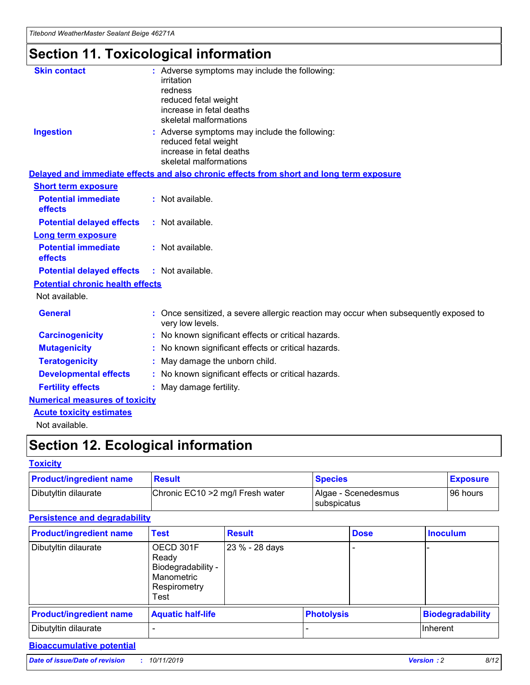## **Section 11. Toxicological information**

| <b>Skin contact</b>                     | : Adverse symptoms may include the following:                                                            |
|-----------------------------------------|----------------------------------------------------------------------------------------------------------|
|                                         | irritation                                                                                               |
|                                         | redness                                                                                                  |
|                                         | reduced fetal weight                                                                                     |
|                                         | increase in fetal deaths                                                                                 |
|                                         | skeletal malformations                                                                                   |
| <b>Ingestion</b>                        | : Adverse symptoms may include the following:                                                            |
|                                         | reduced fetal weight                                                                                     |
|                                         | increase in fetal deaths                                                                                 |
|                                         | skeletal malformations                                                                                   |
|                                         | Delayed and immediate effects and also chronic effects from short and long term exposure                 |
| <b>Short term exposure</b>              |                                                                                                          |
| <b>Potential immediate</b>              | : Not available.                                                                                         |
| effects                                 |                                                                                                          |
| <b>Potential delayed effects</b>        | : Not available.                                                                                         |
| Long term exposure                      |                                                                                                          |
| <b>Potential immediate</b>              | : Not available.                                                                                         |
| effects                                 |                                                                                                          |
| <b>Potential delayed effects</b>        | : Not available.                                                                                         |
| <b>Potential chronic health effects</b> |                                                                                                          |
| Not available.                          |                                                                                                          |
| <b>General</b>                          | : Once sensitized, a severe allergic reaction may occur when subsequently exposed to<br>very low levels. |
| <b>Carcinogenicity</b>                  | : No known significant effects or critical hazards.                                                      |
| <b>Mutagenicity</b>                     | No known significant effects or critical hazards.                                                        |
| <b>Teratogenicity</b>                   | May damage the unborn child.                                                                             |
| <b>Developmental effects</b>            | No known significant effects or critical hazards.                                                        |
| <b>Fertility effects</b>                | : May damage fertility.                                                                                  |
| <b>Numerical measures of toxicity</b>   |                                                                                                          |
| <b>Acute toxicity estimates</b>         |                                                                                                          |
|                                         |                                                                                                          |

Not available.

## **Section 12. Ecological information**

#### **Toxicity**

| <b>Product/ingredient name</b> | <b>Result</b>                     | <b>Species</b>                       | <b>Exposure</b> |
|--------------------------------|-----------------------------------|--------------------------------------|-----------------|
| Dibutyltin dilaurate           | Chronic EC10 > 2 mg/l Fresh water | Algae - Scenedesmus<br>I subspicatus | l 96 hours      |

### **Persistence and degradability**

| <b>Product/ingredient name</b> | <b>Test</b>                                                                    | <b>Result</b>  |                   | <b>Dose</b> | <b>Inoculum</b>         |
|--------------------------------|--------------------------------------------------------------------------------|----------------|-------------------|-------------|-------------------------|
| Dibutyltin dilaurate           | OECD 301F<br>Ready<br>Biodegradability -<br>Manometric<br>Respirometry<br>Test | 23 % - 28 days |                   |             |                         |
| <b>Product/ingredient name</b> | <b>Aquatic half-life</b>                                                       |                | <b>Photolysis</b> |             | <b>Biodegradability</b> |
| Dibutyltin dilaurate           |                                                                                |                |                   |             | Inherent                |

### **Bioaccumulative potential**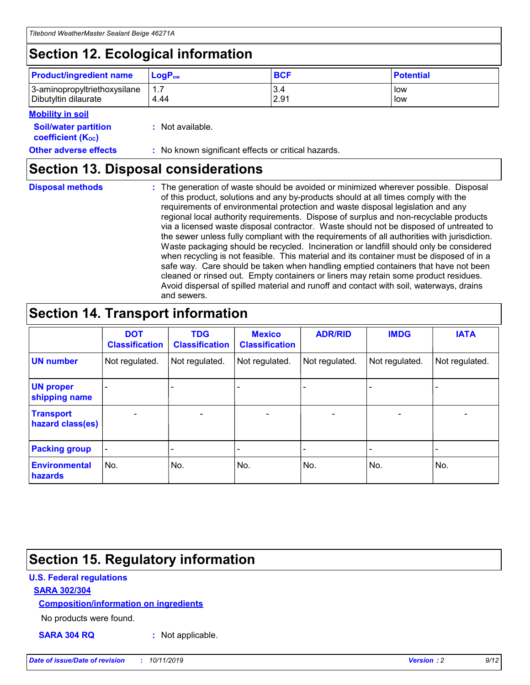## **Section 12. Ecological information**

| <b>Product/ingredient name</b> | $LoaPow$ | <b>BCF</b> | <b>Potential</b> |
|--------------------------------|----------|------------|------------------|
| 3-aminopropyltriethoxysilane   | 1.7      | 3.4        | low              |
| Dibutyltin dilaurate           | 4.44     | 2.91       | low              |

#### **Mobility in soil**

| <i></i>                                                       |                                                     |
|---------------------------------------------------------------|-----------------------------------------------------|
| <b>Soil/water partition</b><br>coefficient (K <sub>oc</sub> ) | : Not available.                                    |
| <b>Other adverse effects</b>                                  | : No known significant effects or critical hazards. |

### **Section 13. Disposal considerations**

**Disposal methods :**

The generation of waste should be avoided or minimized wherever possible. Disposal of this product, solutions and any by-products should at all times comply with the requirements of environmental protection and waste disposal legislation and any regional local authority requirements. Dispose of surplus and non-recyclable products via a licensed waste disposal contractor. Waste should not be disposed of untreated to the sewer unless fully compliant with the requirements of all authorities with jurisdiction. Waste packaging should be recycled. Incineration or landfill should only be considered when recycling is not feasible. This material and its container must be disposed of in a safe way. Care should be taken when handling emptied containers that have not been cleaned or rinsed out. Empty containers or liners may retain some product residues. Avoid dispersal of spilled material and runoff and contact with soil, waterways, drains and sewers.

## **Section 14. Transport information**

|                                      | <b>DOT</b><br><b>Classification</b> | <b>TDG</b><br><b>Classification</b> | <b>Mexico</b><br><b>Classification</b> | <b>ADR/RID</b> | <b>IMDG</b>              | <b>IATA</b>              |
|--------------------------------------|-------------------------------------|-------------------------------------|----------------------------------------|----------------|--------------------------|--------------------------|
| <b>UN number</b>                     | Not regulated.                      | Not regulated.                      | Not regulated.                         | Not regulated. | Not regulated.           | Not regulated.           |
| <b>UN proper</b><br>shipping name    | $\blacksquare$                      |                                     |                                        |                |                          |                          |
| <b>Transport</b><br>hazard class(es) | $\blacksquare$                      | $\overline{\phantom{a}}$            | $\blacksquare$                         | $\blacksquare$ | $\overline{\phantom{a}}$ | $\overline{\phantom{0}}$ |
| <b>Packing group</b>                 | $\overline{\phantom{a}}$            | $\overline{\phantom{0}}$            | $\overline{\phantom{a}}$               | -              | $\overline{\phantom{0}}$ | $\overline{\phantom{a}}$ |
| <b>Environmental</b><br>hazards      | No.                                 | No.                                 | No.                                    | No.            | No.                      | No.                      |

## **Section 15. Regulatory information**

### **U.S. Federal regulations**

### **SARA 302/304**

### **Composition/information on ingredients**

No products were found.

**SARA 304 RQ :** Not applicable.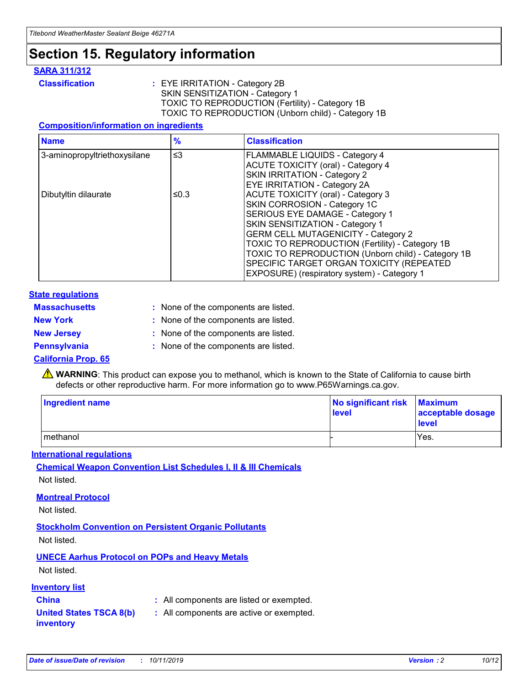## **Section 15. Regulatory information**

#### **SARA 311/312**

**Classification :** EYE IRRITATION - Category 2B SKIN SENSITIZATION - Category 1 TOXIC TO REPRODUCTION (Fertility) - Category 1B TOXIC TO REPRODUCTION (Unborn child) - Category 1B

#### **Composition/information on ingredients**

| <b>Name</b>                  | $\frac{9}{6}$ | <b>Classification</b>                                                                                            |
|------------------------------|---------------|------------------------------------------------------------------------------------------------------------------|
| 3-aminopropyltriethoxysilane | $\leq$ 3      | <b>FLAMMABLE LIQUIDS - Category 4</b><br><b>ACUTE TOXICITY (oral) - Category 4</b>                               |
|                              |               | SKIN IRRITATION - Category 2<br>EYE IRRITATION - Category 2A                                                     |
| Dibutyltin dilaurate         | ≤0.3          | ACUTE TOXICITY (oral) - Category 3<br>SKIN CORROSION - Category 1C                                               |
|                              |               | SERIOUS EYE DAMAGE - Category 1<br>SKIN SENSITIZATION - Category 1<br><b>GERM CELL MUTAGENICITY - Category 2</b> |
|                              |               | TOXIC TO REPRODUCTION (Fertility) - Category 1B<br>TOXIC TO REPRODUCTION (Unborn child) - Category 1B            |
|                              |               | SPECIFIC TARGET ORGAN TOXICITY (REPEATED<br>EXPOSURE) (respiratory system) - Category 1                          |

#### **State regulations**

| <b>Massachusetts</b> | : None of the components are listed. |
|----------------------|--------------------------------------|
| <b>New York</b>      | : None of the components are listed. |
| <b>New Jersey</b>    | : None of the components are listed. |
| <b>Pennsylvania</b>  | : None of the components are listed. |

#### **California Prop. 65**

**A** WARNING: This product can expose you to methanol, which is known to the State of California to cause birth defects or other reproductive harm. For more information go to www.P65Warnings.ca.gov.

| <b>Ingredient name</b> | No significant risk Maximum<br>level | acceptable dosage<br>level |
|------------------------|--------------------------------------|----------------------------|
| methanol               |                                      | Yes.                       |

#### **International regulations**

**Chemical Weapon Convention List Schedules I, II & III Chemicals** Not listed.

#### **Montreal Protocol**

Not listed.

**Stockholm Convention on Persistent Organic Pollutants**

Not listed.

### **UNECE Aarhus Protocol on POPs and Heavy Metals**

Not listed.

### **Inventory list**

### **China :** All components are listed or exempted.

**United States TSCA 8(b) inventory :** All components are active or exempted.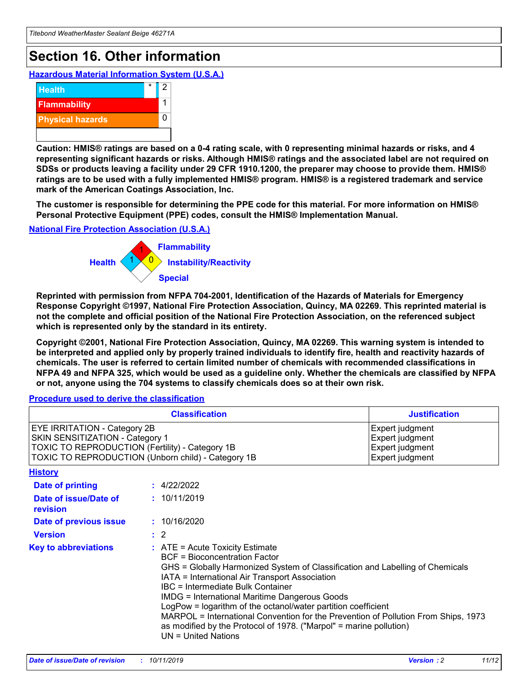## **Section 16. Other information**

**Hazardous Material Information System (U.S.A.)**



**Caution: HMIS® ratings are based on a 0-4 rating scale, with 0 representing minimal hazards or risks, and 4 representing significant hazards or risks. Although HMIS® ratings and the associated label are not required on SDSs or products leaving a facility under 29 CFR 1910.1200, the preparer may choose to provide them. HMIS® ratings are to be used with a fully implemented HMIS® program. HMIS® is a registered trademark and service mark of the American Coatings Association, Inc.**

**The customer is responsible for determining the PPE code for this material. For more information on HMIS® Personal Protective Equipment (PPE) codes, consult the HMIS® Implementation Manual.**

#### **National Fire Protection Association (U.S.A.)**



**Reprinted with permission from NFPA 704-2001, Identification of the Hazards of Materials for Emergency Response Copyright ©1997, National Fire Protection Association, Quincy, MA 02269. This reprinted material is not the complete and official position of the National Fire Protection Association, on the referenced subject which is represented only by the standard in its entirety.**

**Copyright ©2001, National Fire Protection Association, Quincy, MA 02269. This warning system is intended to be interpreted and applied only by properly trained individuals to identify fire, health and reactivity hazards of chemicals. The user is referred to certain limited number of chemicals with recommended classifications in NFPA 49 and NFPA 325, which would be used as a guideline only. Whether the chemicals are classified by NFPA or not, anyone using the 704 systems to classify chemicals does so at their own risk.**

**Procedure used to derive the classification**

| <b>Classification</b>                                                                                                                                                    |                                                                                                                                                  | <b>Justification</b>                                                                                                                                                                                                                                                                                                                                                                                                 |  |
|--------------------------------------------------------------------------------------------------------------------------------------------------------------------------|--------------------------------------------------------------------------------------------------------------------------------------------------|----------------------------------------------------------------------------------------------------------------------------------------------------------------------------------------------------------------------------------------------------------------------------------------------------------------------------------------------------------------------------------------------------------------------|--|
| EYE IRRITATION - Category 2B<br>SKIN SENSITIZATION - Category 1<br>TOXIC TO REPRODUCTION (Fertility) - Category 1B<br>TOXIC TO REPRODUCTION (Unborn child) - Category 1B |                                                                                                                                                  | Expert judgment<br>Expert judgment<br>Expert judgment<br>Expert judgment                                                                                                                                                                                                                                                                                                                                             |  |
| <b>History</b>                                                                                                                                                           |                                                                                                                                                  |                                                                                                                                                                                                                                                                                                                                                                                                                      |  |
| Date of printing                                                                                                                                                         | : 4/22/2022                                                                                                                                      |                                                                                                                                                                                                                                                                                                                                                                                                                      |  |
| Date of issue/Date of<br>revision                                                                                                                                        | : 10/11/2019                                                                                                                                     |                                                                                                                                                                                                                                                                                                                                                                                                                      |  |
| Date of previous issue                                                                                                                                                   | : 10/16/2020                                                                                                                                     |                                                                                                                                                                                                                                                                                                                                                                                                                      |  |
| <b>Version</b>                                                                                                                                                           | $\therefore$ 2                                                                                                                                   |                                                                                                                                                                                                                                                                                                                                                                                                                      |  |
| <b>Key to abbreviations</b>                                                                                                                                              | $\therefore$ ATE = Acute Toxicity Estimate<br><b>BCF</b> = Bioconcentration Factor<br>IBC = Intermediate Bulk Container<br>$UN = United Nations$ | GHS = Globally Harmonized System of Classification and Labelling of Chemicals<br>IATA = International Air Transport Association<br><b>IMDG = International Maritime Dangerous Goods</b><br>LogPow = logarithm of the octanol/water partition coefficient<br>MARPOL = International Convention for the Prevention of Pollution From Ships, 1973<br>as modified by the Protocol of 1978. ("Marpol" = marine pollution) |  |